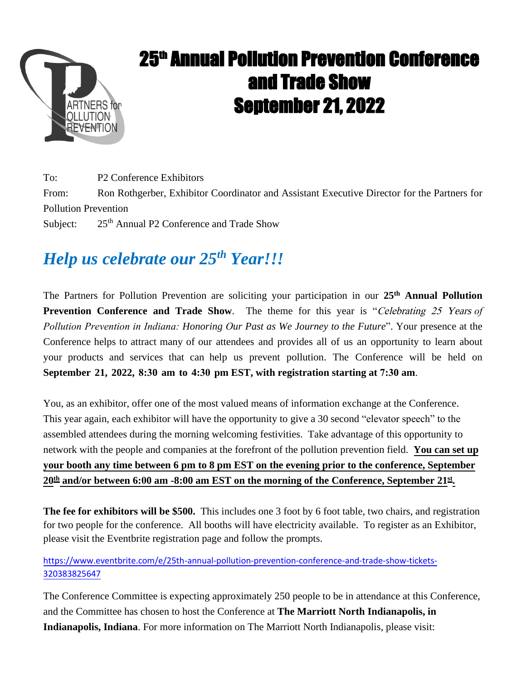

## 25<sup>th</sup> Annual Pollution Prevention Conference and Trade Show September 21, 2022

To: P2 Conference Exhibitors From: Ron Rothgerber, Exhibitor Coordinator and Assistant Executive Director for the Partners for Pollution Prevention

Subject: 25<sup>th</sup> Annual P2 Conference and Trade Show

## *Help us celebrate our 25th Year!!!*

The Partners for Pollution Prevention are soliciting your participation in our **25th Annual Pollution Prevention Conference and Trade Show.** The theme for this year is "Celebrating 25 Years of *Pollution Prevention in Indiana: Honoring Our Past as We Journey to the Future*". Your presence at the Conference helps to attract many of our attendees and provides all of us an opportunity to learn about your products and services that can help us prevent pollution. The Conference will be held on **September 21, 2022, 8:30 am to 4:30 pm EST, with registration starting at 7:30 am**.

You, as an exhibitor, offer one of the most valued means of information exchange at the Conference. This year again, each exhibitor will have the opportunity to give a 30 second "elevator speech" to the assembled attendees during the morning welcoming festivities. Take advantage of this opportunity to network with the people and companies at the forefront of the pollution prevention field. **You can set up your booth any time between 6 pm to 8 pm EST on the evening prior to the conference, September 20th and/or between 6:00 am -8:00 am EST on the morning of the Conference, September 21st .**

**The fee for exhibitors will be \$500.** This includes one 3 foot by 6 foot table, two chairs, and registration for two people for the conference. All booths will have electricity available. To register as an Exhibitor, please visit the Eventbrite registration page and follow the prompts.

[https://www.eventbrite.com/e/25th-annual-pollution-prevention-conference-and-trade-show-tickets-](https://www.eventbrite.com/e/25th-annual-pollution-prevention-conference-and-trade-show-tickets-320383825647)[320383825647](https://www.eventbrite.com/e/25th-annual-pollution-prevention-conference-and-trade-show-tickets-320383825647)

The Conference Committee is expecting approximately 250 people to be in attendance at this Conference, and the Committee has chosen to host the Conference at **The Marriott North Indianapolis, in Indianapolis, Indiana**. For more information on The Marriott North Indianapolis, please visit: